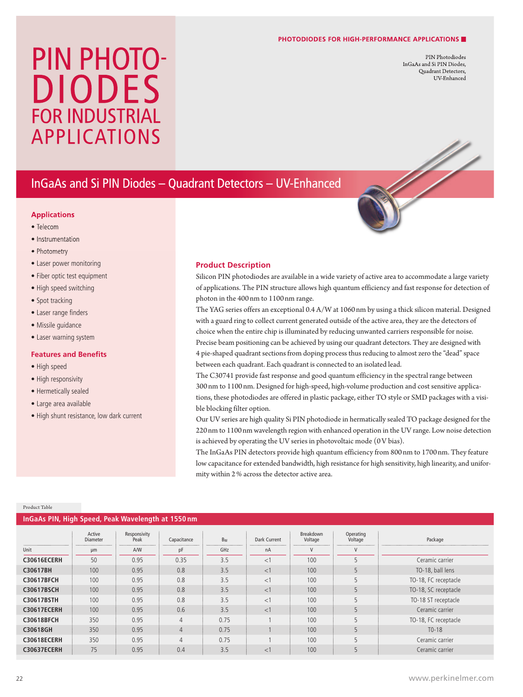#### **PHOTODIODES FOR HIGH-PERFORMANCE APPLICATIONS**

PIN Photodiodes InGaAs and Si PIN Diodes, Quadrant Detectors, UV-Enhanced

# PIN PHOTO-DIODES FOR INDUSTRIAL APPLICATIONS

## InGaAs and Si PIN Diodes – Quadrant Detectors – UV-Enhanced

#### **Applications**

- Telecom
- Instrumentation
- Photometry
- Laser power monitoring
- Fiber optic test equipment
- High speed switching
- Spot tracking
- Laser range finders
- Missile guidance
- Laser warning system

#### **Features and Benefits**

- High speed
- High responsivity
- Hermetically sealed
- Large area available
- High shunt resistance, low dark current

#### **Product Description**

Silicon PIN photodiodes are available in a wide variety of active area to accommodate a large variety of applications. The PIN structure allows high quantum efficiency and fast response for detection of photon in the 400 nm to 1100nm range.

The YAG series offers an exceptional 0.4 A/W at 1060 nm by using a thick silicon material. Designed with a guard ring to collect current generated outside of the active area, they are the detectors of choice when the entire chip is illuminated by reducing unwanted carriers responsible for noise. Precise beam positioning can be achieved by using our quadrant detectors. They are designed with 4 pie-shaped quadrant sections from doping process thus reducing to almostzero the "dead" space between each quadrant. Each quadrant is connected to an isolated lead.

The C30741 provide fast response and good quantum efficiency in the spectral range between 300nm to 1100 nm. Designed for high-speed, high-volume production and cost sensitive applications, these photodiodes are offered in plastic package, either TO style or SMD packages with a visible blocking filter option.

Our UV series are high quality Si PIN photodiode in hermatically sealed TO package designed for the 220nm to 1100nm wavelength region with enhanced operation in the UV range. Low noise detection is achieved by operating the UV series in photovoltaic mode (0V bias).

The InGaAs PIN detectors provide high quantum efficiency from 800 nm to 1700 nm. They feature low capacitance for extended bandwidth, high resistance for high sensitivity, high linearity, and uniformity within 2% across the detector active area.

#### Product Table

| InGaAs PIN, High Speed, Peak Wavelength at 1550 nm |                           |                      |                |       |              |                             |                      |                      |  |  |
|----------------------------------------------------|---------------------------|----------------------|----------------|-------|--------------|-----------------------------|----------------------|----------------------|--|--|
|                                                    | Active<br><b>Diameter</b> | Responsivity<br>Peak | Capacitance    | $B_W$ | Dark Current | <b>Breakdown</b><br>Voltage | Operating<br>Voltage | Package              |  |  |
| Unit                                               | μm                        | A/W                  | pF             | GHz   | nA           | V                           |                      |                      |  |  |
| <b>C30616ECERH</b>                                 | 50                        | 0.95                 | 0.35           | 3.5   | <1           | 100                         |                      | Ceramic carrier      |  |  |
| C30617BH                                           | 100                       | 0.95                 | 0.8            | 3.5   | <1           | 100                         |                      | TO-18, ball lens     |  |  |
| <b>C30617BFCH</b>                                  | 100                       | 0.95                 | 0.8            | 3.5   | <1           | 100                         |                      | TO-18, FC receptacle |  |  |
| <b>C30617BSCH</b>                                  | 100                       | 0.95                 | 0.8            | 3.5   | <1           | 100                         | 5                    | TO-18, SC receptacle |  |  |
| C30617BSTH                                         | 100                       | 0.95                 | 0.8            | 3.5   | <1           | 100                         | 5                    | TO-18 ST receptacle  |  |  |
| <b>C30617ECERH</b>                                 | 100                       | 0.95                 | 0.6            | 3.5   | <1           | 100                         | 5                    | Ceramic carrier      |  |  |
| <b>C30618BFCH</b>                                  | 350                       | 0.95                 | $\overline{4}$ | 0.75  |              | 100                         | 5                    | TO-18, FC receptacle |  |  |
| C30618GH                                           | 350                       | 0.95                 | $\overline{4}$ | 0.75  |              | 100                         |                      | $T0-18$              |  |  |
| C30618ECERH                                        | 350                       | 0.95                 | $\overline{4}$ | 0.75  |              | 100                         |                      | Ceramic carrier      |  |  |
| <b>C30637ECERH</b>                                 | 75                        | 0.95                 | 0.4            | 3.5   | <1           | 100                         | 5                    | Ceramic carrier      |  |  |